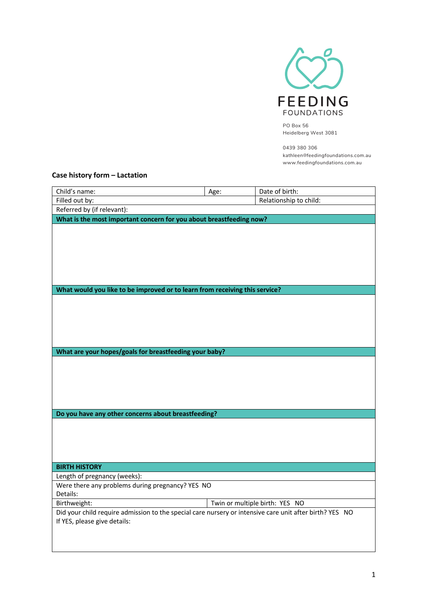

PO Box 56 Heidelberg West 3081

0439 380 306 kathleen@feedingfoundations.com.au www.feedingfoundations.com.au

## **Case history form – Lactation**

| Child's name:                                                                                           | Age: | Date of birth:                 |  |
|---------------------------------------------------------------------------------------------------------|------|--------------------------------|--|
| Filled out by:                                                                                          |      | Relationship to child:         |  |
| Referred by (if relevant):                                                                              |      |                                |  |
| What is the most important concern for you about breastfeeding now?                                     |      |                                |  |
|                                                                                                         |      |                                |  |
|                                                                                                         |      |                                |  |
|                                                                                                         |      |                                |  |
|                                                                                                         |      |                                |  |
|                                                                                                         |      |                                |  |
|                                                                                                         |      |                                |  |
| What would you like to be improved or to learn from receiving this service?                             |      |                                |  |
|                                                                                                         |      |                                |  |
|                                                                                                         |      |                                |  |
|                                                                                                         |      |                                |  |
|                                                                                                         |      |                                |  |
|                                                                                                         |      |                                |  |
|                                                                                                         |      |                                |  |
| What are your hopes/goals for breastfeeding your baby?                                                  |      |                                |  |
|                                                                                                         |      |                                |  |
|                                                                                                         |      |                                |  |
|                                                                                                         |      |                                |  |
|                                                                                                         |      |                                |  |
|                                                                                                         |      |                                |  |
| Do you have any other concerns about breastfeeding?                                                     |      |                                |  |
|                                                                                                         |      |                                |  |
|                                                                                                         |      |                                |  |
|                                                                                                         |      |                                |  |
|                                                                                                         |      |                                |  |
| <b>BIRTH HISTORY</b>                                                                                    |      |                                |  |
| Length of pregnancy (weeks):                                                                            |      |                                |  |
| Were there any problems during pregnancy? YES NO                                                        |      |                                |  |
| Details:                                                                                                |      |                                |  |
| Birthweight:                                                                                            |      | Twin or multiple birth: YES NO |  |
| Did your child require admission to the special care nursery or intensive care unit after birth? YES NO |      |                                |  |
| If YES, please give details:                                                                            |      |                                |  |
|                                                                                                         |      |                                |  |
|                                                                                                         |      |                                |  |
|                                                                                                         |      |                                |  |